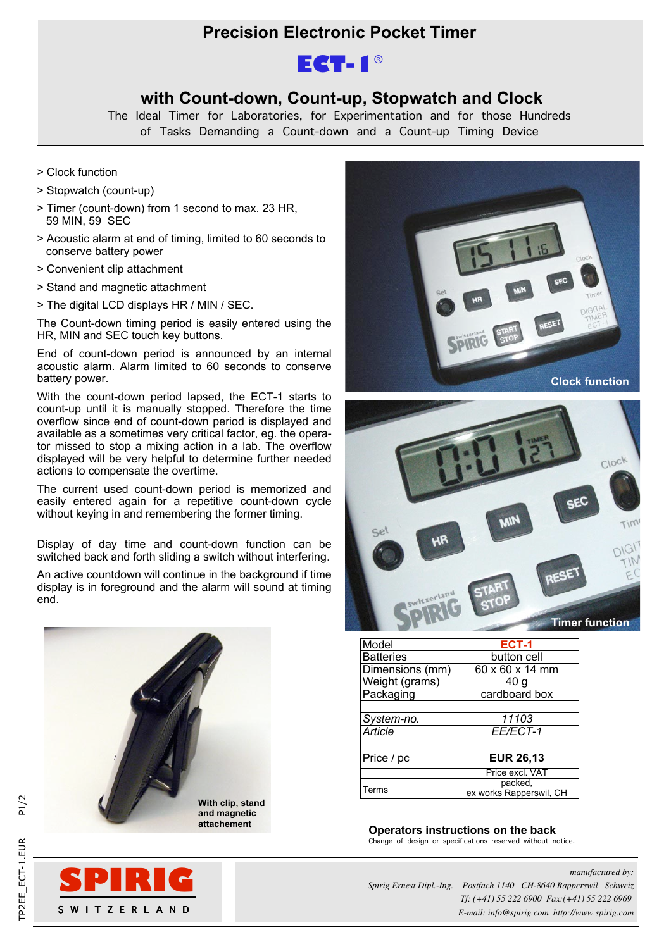## **Precision Electronic Pocket Timer**



### **with Count-down, Count-up, Stopwatch and Clock**

The Ideal Timer for Laboratories, for Experimentation and for those Hundreds of Tasks Demanding a Count-down and a Count-up Timing Device

- > Clock function
- > Stopwatch (count-up)
- > Timer (count-down) from 1 second to max. 23 HR, 59 MIN, 59 SEC
- > Acoustic alarm at end of timing, limited to 60 seconds to conserve battery power
- > Convenient clip attachment
- > Stand and magnetic attachment
- > The digital LCD displays HR / MIN / SEC.

The Count-down timing period is easily entered using the HR, MIN and SEC touch key buttons.

End of count-down period is announced by an internal acoustic alarm. Alarm limited to 60 seconds to conserve battery power.

With the count-down period lapsed, the ECT-1 starts to count-up until it is manually stopped. Therefore the time overflow since end of count-down period is displayed and available as a sometimes very critical factor, eg. the operator missed to stop a mixing action in a lab. The overflow displayed will be very helpful to determine further needed actions to compensate the overtime.

The current used count-down period is memorized and easily entered again for a repetitive count-down cycle without keying in and remembering the former timing.

Display of day time and count-down function can be switched back and forth sliding a switch without interfering.

An active countdown will continue in the background if time display is in foreground and the alarm will sound at timing end.



**SPIRIG** S W I T Z E R L A N D



| <b>Batteries</b> | button cell                        |
|------------------|------------------------------------|
| Dimensions (mm)  | 60 x 60 x 14 mm                    |
| Weight (grams)   | 40 <sub>g</sub>                    |
| Packaging        | cardboard box                      |
|                  |                                    |
| System-no.       | 11103                              |
| Article          | EE/ECT-1                           |
|                  |                                    |
| Price / pc       | <b>EUR 26,13</b>                   |
|                  | Price excl. VAT                    |
| Terms            | packed,<br>ex works Rapperswil, CH |

## **attachement Operators instructions on the back**

Change of design or specifications reserved without notice.

*manufactured by: Spirig Ernest Dipl.-Ing. Postfach 1140 CH-8640 Rapperswil Schweiz Tf: (+41) 55 222 6900 Fax:(+41) 55 222 6969 E-mail: info@spirig.com http://www.spirig.com*